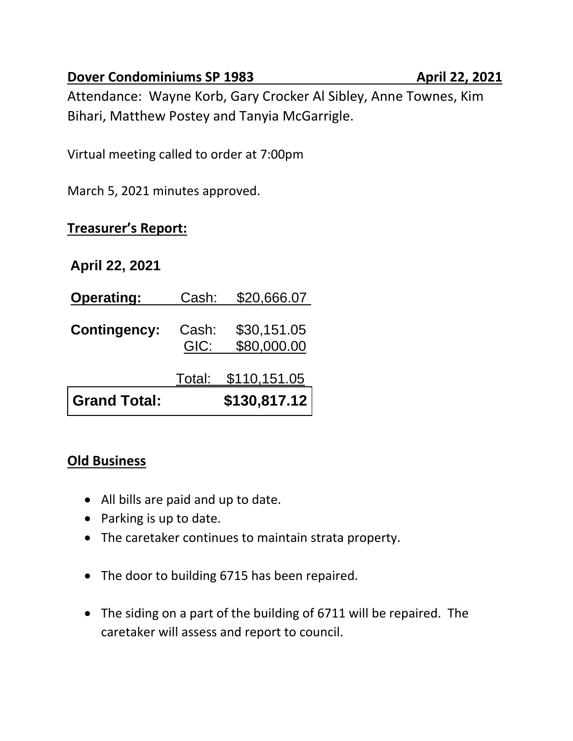### **Dover Condominiums SP 1983 April 22, 2021**

Attendance: Wayne Korb, Gary Crocker Al Sibley, Anne Townes, Kim Bihari, Matthew Postey and Tanyia McGarrigle.

Virtual meeting called to order at 7:00pm

March 5, 2021 minutes approved.

# **Treasurer's Report:**

## **April 22, 2021**

| <b>Operating:</b>   | Cash:         | \$20,666.07                |
|---------------------|---------------|----------------------------|
| <b>Contingency:</b> | Cash:<br>GIC: | \$30,151.05<br>\$80,000.00 |
|                     |               | <u>Total: \$110,151.05</u> |
| <b>Grand Total:</b> |               | \$130,817.12               |

## **Old Business**

- All bills are paid and up to date.
- Parking is up to date.
- The caretaker continues to maintain strata property.
- The door to building 6715 has been repaired.
- The siding on a part of the building of 6711 will be repaired. The caretaker will assess and report to council.